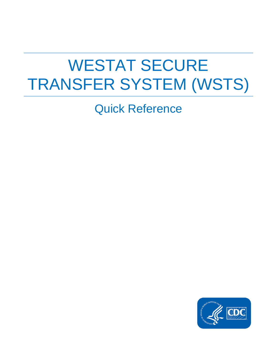# WESTAT SECURE TRANSFER SYSTEM (WSTS)

Quick Reference

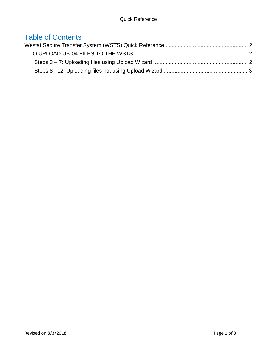### Table of Contents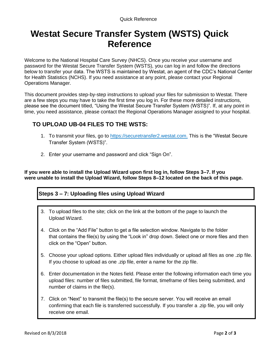## <span id="page-2-0"></span>**Westat Secure Transfer System (WSTS) Quick Reference**

Welcome to the National Hospital Care Survey (NHCS). Once you receive your username and password for the Westat Secure Transfer System (WSTS), you can log in and follow the directions below to transfer your data. The WSTS is maintained by Westat, an agent of the CDC's National Center for Health Statistics (NCHS). If you need assistance at any point, please contact your Regional Operations Manager.

This document provides step-by-step instructions to upload your files for submission to Westat. There are a few steps you may have to take the first time you log in. For these more detailed instructions, please see the document titled, "Using the Westat Secure Transfer System (WSTS)". If, at any point in time, you need assistance, please contact the Regional Operations Manager assigned to your hospital.

#### <span id="page-2-1"></span>**TO UPLOAD UB-04 FILES TO THE WSTS:**

- 1. To transmit your files, go to [https://securetransfer2.westat.com.](https://securetransfer2.westat.com/) This is the "Westat Secure Transfer System (WSTS)".
- 2. Enter your username and password and click "Sign On".

**If you were able to install the Upload Wizard upon first log in, follow Steps 3–7. If you were unable to install the Upload Wizard, follow Steps 8–12 located on the back of this page.** 

#### <span id="page-2-2"></span>**Steps 3 – 7: Uploading files using Upload Wizard**

- 3. To upload files to the site; click on the link at the bottom of the page to launch the Upload Wizard.
- 4. Click on the "Add File" button to get a file selection window. Navigate to the folder that contains the file(s) by using the "Look in" drop down. Select one or more files and then click on the "Open" button.
- 5. Choose your upload options. Either upload files individually or upload all files as one .zip file. If you choose to upload as one .zip file, enter a name for the zip file.
- 6. Enter documentation in the Notes field. Please enter the following information each time you upload files: number of files submitted, file format, timeframe of files being submitted, and number of claims in the file(s).
- 7. Click on "Next" to transmit the file(s) to the secure server. You will receive an email confirming that each file is transferred successfully. If you transfer a .zip file, you will only receive one email.